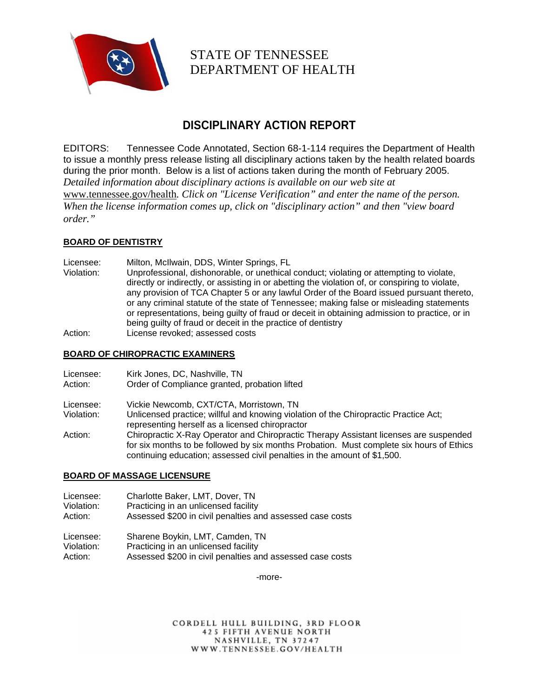

STATE OF TENNESSEE DEPARTMENT OF HEALTH

# **DISCIPLINARY ACTION REPORT**

EDITORS: Tennessee Code Annotated, Section 68-1-114 requires the Department of Health to issue a monthly press release listing all disciplinary actions taken by the health related boards during the prior month. Below is a list of actions taken during the month of February 2005. *Detailed information about disciplinary actions is available on our web site at*  www.tennessee.gov/health*. Click on "License Verification" and enter the name of the person. When the license information comes up, click on "disciplinary action" and then "view board order."* 

# **BOARD OF DENTISTRY**

Licensee: Milton, McIlwain, DDS, Winter Springs, FL Violation: Unprofessional, dishonorable, or unethical conduct; violating or attempting to violate, directly or indirectly, or assisting in or abetting the violation of, or conspiring to violate, any provision of TCA Chapter 5 or any lawful Order of the Board issued pursuant thereto, or any criminal statute of the state of Tennessee; making false or misleading statements or representations, being guilty of fraud or deceit in obtaining admission to practice, or in being guilty of fraud or deceit in the practice of dentistry Action: License revoked; assessed costs

#### **BOARD OF CHIROPRACTIC EXAMINERS**

| Licensee:  | Kirk Jones, DC, Nashville, TN                                                                                                                                                                                                                                 |
|------------|---------------------------------------------------------------------------------------------------------------------------------------------------------------------------------------------------------------------------------------------------------------|
| Action:    | Order of Compliance granted, probation lifted                                                                                                                                                                                                                 |
| Licensee:  | Vickie Newcomb, CXT/CTA, Morristown, TN                                                                                                                                                                                                                       |
| Violation: | Unlicensed practice; willful and knowing violation of the Chiropractic Practice Act;<br>representing herself as a licensed chiropractor                                                                                                                       |
| Action:    | Chiropractic X-Ray Operator and Chiropractic Therapy Assistant licenses are suspended<br>for six months to be followed by six months Probation. Must complete six hours of Ethics<br>continuing education; assessed civil penalties in the amount of \$1,500. |

## **BOARD OF MASSAGE LICENSURE**

| Licensee:  | Charlotte Baker, LMT, Dover, TN                           |
|------------|-----------------------------------------------------------|
| Violation: | Practicing in an unlicensed facility                      |
| Action:    | Assessed \$200 in civil penalties and assessed case costs |
|            |                                                           |

Licensee: Sharene Boykin, LMT, Camden, TN Violation: Practicing in an unlicensed facility Action: Assessed \$200 in civil penalties and assessed case costs

-more-

CORDELL HULL BUILDING, 3RD FLOOR **425 FIFTH AVENUE NORTH** NASHVILLE, TN 37247 WWW.TENNESSEE.GOV/HEALTH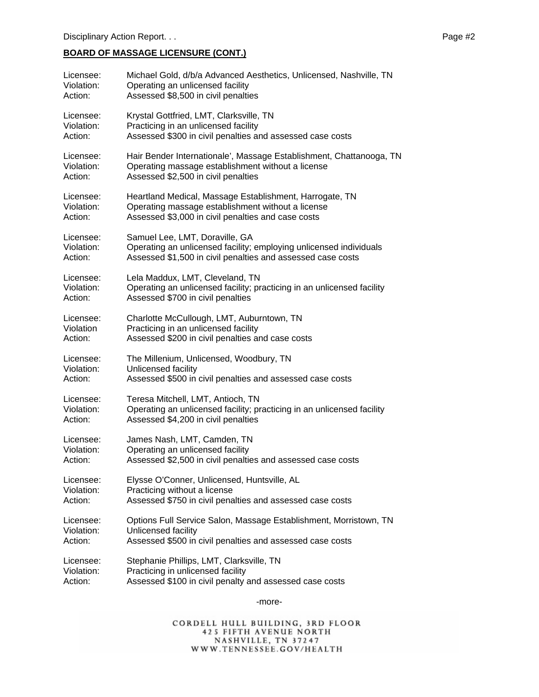# **BOARD OF MASSAGE LICENSURE (CONT.)**

| Licensee:  | Michael Gold, d/b/a Advanced Aesthetics, Unlicensed, Nashville, TN     |
|------------|------------------------------------------------------------------------|
| Violation: | Operating an unlicensed facility                                       |
| Action:    | Assessed \$8,500 in civil penalties                                    |
| Licensee:  | Krystal Gottfried, LMT, Clarksville, TN                                |
| Violation: | Practicing in an unlicensed facility                                   |
| Action:    | Assessed \$300 in civil penalties and assessed case costs              |
| Licensee:  | Hair Bender Internationale', Massage Establishment, Chattanooga, TN    |
| Violation: | Operating massage establishment without a license                      |
| Action:    | Assessed \$2,500 in civil penalties                                    |
| Licensee:  | Heartland Medical, Massage Establishment, Harrogate, TN                |
| Violation: | Operating massage establishment without a license                      |
| Action:    | Assessed \$3,000 in civil penalties and case costs                     |
| Licensee:  | Samuel Lee, LMT, Doraville, GA                                         |
| Violation: | Operating an unlicensed facility; employing unlicensed individuals     |
| Action:    | Assessed \$1,500 in civil penalties and assessed case costs            |
| Licensee:  | Lela Maddux, LMT, Cleveland, TN                                        |
| Violation: | Operating an unlicensed facility; practicing in an unlicensed facility |
| Action:    | Assessed \$700 in civil penalties                                      |
| Licensee:  | Charlotte McCullough, LMT, Auburntown, TN                              |
| Violation  | Practicing in an unlicensed facility                                   |
| Action:    | Assessed \$200 in civil penalties and case costs                       |
| Licensee:  | The Millenium, Unlicensed, Woodbury, TN                                |
| Violation: | Unlicensed facility                                                    |
| Action:    | Assessed \$500 in civil penalties and assessed case costs              |
| Licensee:  | Teresa Mitchell, LMT, Antioch, TN                                      |
| Violation: | Operating an unlicensed facility; practicing in an unlicensed facility |
| Action:    | Assessed \$4,200 in civil penalties                                    |
| Licensee:  | James Nash, LMT, Camden, TN                                            |
| Violation: | Operating an unlicensed facility                                       |
| Action:    | Assessed \$2,500 in civil penalties and assessed case costs            |
| Licensee:  | Elysse O'Conner, Unlicensed, Huntsville, AL                            |
| Violation: | Practicing without a license                                           |
| Action:    | Assessed \$750 in civil penalties and assessed case costs              |
| Licensee:  | Options Full Service Salon, Massage Establishment, Morristown, TN      |
| Violation: | Unlicensed facility                                                    |
| Action:    | Assessed \$500 in civil penalties and assessed case costs              |
| Licensee:  | Stephanie Phillips, LMT, Clarksville, TN                               |
| Violation: | Practicing in unlicensed facility                                      |
| Action:    | Assessed \$100 in civil penalty and assessed case costs                |

-more-

CORDELL HULL BUILDING, 3RD FLOOR 425 FIFTH AVENUE NORTH<br>NASHVILLE, TN 37247<br>WWW.TENNESSEE.GOV/HEALTH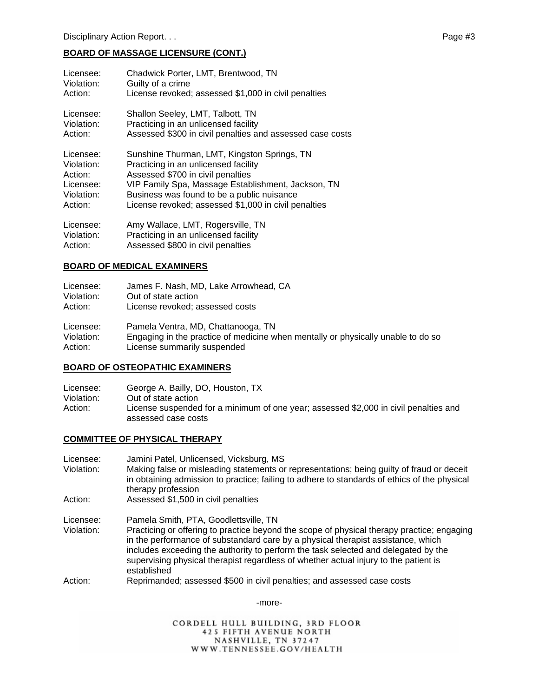## **BOARD OF MASSAGE LICENSURE (CONT.)**

| Licensee:<br>Violation:<br>Action:          | Chadwick Porter, LMT, Brentwood, TN<br>Guilty of a crime<br>License revoked; assessed \$1,000 in civil penalties |
|---------------------------------------------|------------------------------------------------------------------------------------------------------------------|
|                                             |                                                                                                                  |
| Licensee:                                   | Shallon Seeley, LMT, Talbott, TN                                                                                 |
| Violation:                                  | Practicing in an unlicensed facility                                                                             |
| Action:                                     | Assessed \$300 in civil penalties and assessed case costs                                                        |
| Licensee:                                   | Sunshine Thurman, LMT, Kingston Springs, TN                                                                      |
| Violation:                                  | Practicing in an unlicensed facility                                                                             |
| Action:                                     | Assessed \$700 in civil penalties                                                                                |
| Licensee:                                   | VIP Family Spa, Massage Establishment, Jackson, TN                                                               |
| Violation:                                  | Business was found to be a public nuisance                                                                       |
| Action:                                     | License revoked; assessed \$1,000 in civil penalties                                                             |
| Licensee:                                   | Amy Wallace, LMT, Rogersville, TN                                                                                |
| $\sqrt{12}$ and $\sqrt{12}$ and $\sqrt{12}$ | المقالة والمتواط والمستوح المستناد والمستلم المستقف ومواكلات                                                     |

#### Violation: Practicing in an unlicensed facility Action: Assessed \$800 in civil penalties

## **BOARD OF MEDICAL EXAMINERS**

| Licensee:  | James F. Nash, MD, Lake Arrowhead, CA                                            |
|------------|----------------------------------------------------------------------------------|
| Violation: | Out of state action                                                              |
| Action:    | License revoked; assessed costs                                                  |
| Licensee:  | Pamela Ventra, MD, Chattanooga, TN                                               |
| Violation: | Engaging in the practice of medicine when mentally or physically unable to do so |
| Action:    | License summarily suspended                                                      |

## **BOARD OF OSTEOPATHIC EXAMINERS**

| Licensee:  | George A. Bailly, DO, Houston, TX                                                                           |
|------------|-------------------------------------------------------------------------------------------------------------|
| Violation: | Out of state action                                                                                         |
| Action:    | License suspended for a minimum of one year; assessed \$2,000 in civil penalties and<br>assessed case costs |

## **COMMITTEE OF PHYSICAL THERAPY**

| Licensee:  | Jamini Patel, Unlicensed, Vicksburg, MS                                                                                                                                                                                                                                                                                                                                     |
|------------|-----------------------------------------------------------------------------------------------------------------------------------------------------------------------------------------------------------------------------------------------------------------------------------------------------------------------------------------------------------------------------|
| Violation: | Making false or misleading statements or representations; being guilty of fraud or deceit<br>in obtaining admission to practice; failing to adhere to standards of ethics of the physical<br>therapy profession                                                                                                                                                             |
| Action:    | Assessed \$1,500 in civil penalties                                                                                                                                                                                                                                                                                                                                         |
| Licensee:  | Pamela Smith, PTA, Goodlettsville, TN                                                                                                                                                                                                                                                                                                                                       |
| Violation: | Practicing or offering to practice beyond the scope of physical therapy practice; engaging<br>in the performance of substandard care by a physical therapist assistance, which<br>includes exceeding the authority to perform the task selected and delegated by the<br>supervising physical therapist regardless of whether actual injury to the patient is<br>established |
| Action:    | Reprimanded; assessed \$500 in civil penalties; and assessed case costs                                                                                                                                                                                                                                                                                                     |

-more-

CORDELL HULL BUILDING, 3RD FLOOR **425 FIFTH AVENUE NORTH** NASHVILLE, TN 37247<br>WWW.TENNESSEE.GOV/HEALTH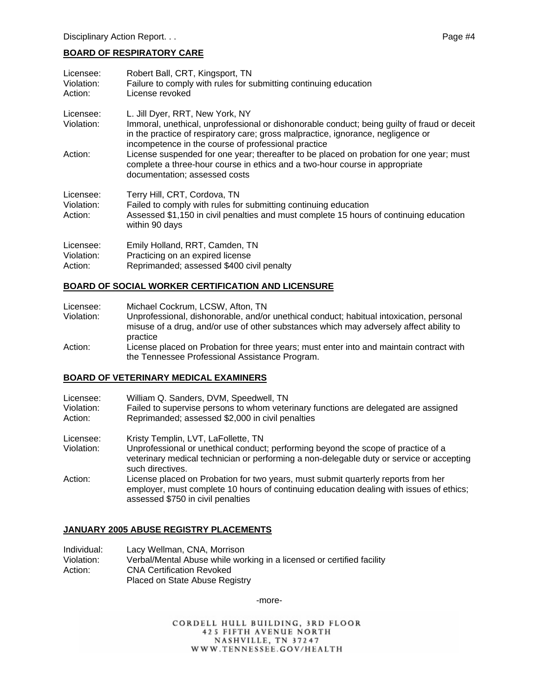# **BOARD OF RESPIRATORY CARE**

| Licensee:<br>Violation:<br>Action: | Robert Ball, CRT, Kingsport, TN<br>Failure to comply with rules for submitting continuing education<br>License revoked                                                                                                                                                    |
|------------------------------------|---------------------------------------------------------------------------------------------------------------------------------------------------------------------------------------------------------------------------------------------------------------------------|
| Licensee:<br>Violation:            | L. Jill Dyer, RRT, New York, NY<br>Immoral, unethical, unprofessional or dishonorable conduct; being guilty of fraud or deceit<br>in the practice of respiratory care; gross malpractice, ignorance, negligence or<br>incompetence in the course of professional practice |
| Action:                            | License suspended for one year; thereafter to be placed on probation for one year; must<br>complete a three-hour course in ethics and a two-hour course in appropriate<br>documentation; assessed costs                                                                   |
| Licensee:<br>Violation:<br>Action: | Terry Hill, CRT, Cordova, TN<br>Failed to comply with rules for submitting continuing education<br>Assessed \$1,150 in civil penalties and must complete 15 hours of continuing education<br>within 90 days                                                               |
| Licensee:<br>Violation:<br>Action: | Emily Holland, RRT, Camden, TN<br>Practicing on an expired license<br>Reprimanded; assessed \$400 civil penalty                                                                                                                                                           |

## **BOARD OF SOCIAL WORKER CERTIFICATION AND LICENSURE**

| Licensee:  | Michael Cockrum, LCSW, Afton, TN                                                                                                                                                              |
|------------|-----------------------------------------------------------------------------------------------------------------------------------------------------------------------------------------------|
| Violation: | Unprofessional, dishonorable, and/or unethical conduct; habitual intoxication, personal<br>misuse of a drug, and/or use of other substances which may adversely affect ability to<br>practice |
| Action:    | License placed on Probation for three years; must enter into and maintain contract with<br>the Tennessee Professional Assistance Program.                                                     |

## **BOARD OF VETERINARY MEDICAL EXAMINERS**

| Licensee:<br>Violation:<br>Action: | William Q. Sanders, DVM, Speedwell, TN<br>Failed to supervise persons to whom veterinary functions are delegated are assigned<br>Reprimanded; assessed \$2,000 in civil penalties                                                        |
|------------------------------------|------------------------------------------------------------------------------------------------------------------------------------------------------------------------------------------------------------------------------------------|
| Licensee:<br>Violation:            | Kristy Templin, LVT, LaFollette, TN<br>Unprofessional or unethical conduct; performing beyond the scope of practice of a<br>veterinary medical technician or performing a non-delegable duty or service or accepting<br>such directives. |
| Action:                            | License placed on Probation for two years, must submit quarterly reports from her<br>employer, must complete 10 hours of continuing education dealing with issues of ethics;<br>assessed \$750 in civil penalties                        |

## **JANUARY 2005 ABUSE REGISTRY PLACEMENTS**

| Individual: | Lacy Wellman, CNA, Morrison                                           |
|-------------|-----------------------------------------------------------------------|
| Violation:  | Verbal/Mental Abuse while working in a licensed or certified facility |
| Action: .   | <b>CNA Certification Revoked</b>                                      |
|             | Placed on State Abuse Registry                                        |

-more-

CORDELL HULL BUILDING, 3RD FLOOR 425 FIFTH AVENUE NORTH<br>NASHVILLE, TN 37247<br>WWW.TENNESSEE.GOV/HEALTH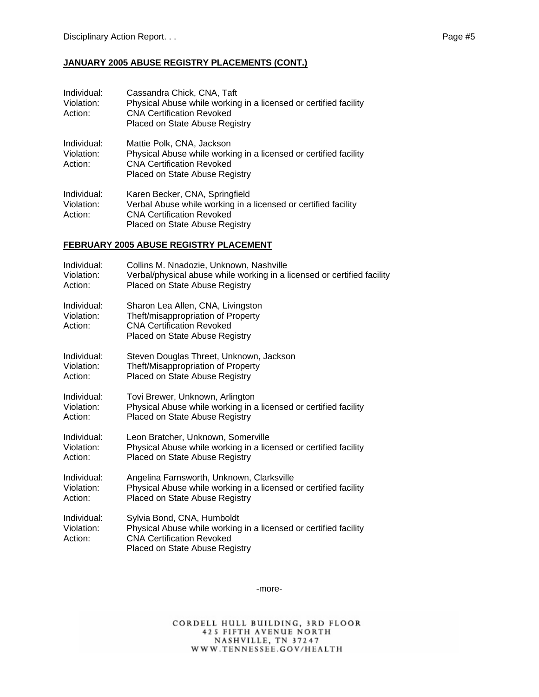#### **JANUARY 2005 ABUSE REGISTRY PLACEMENTS (CONT.)**

| Individual:<br>Violation:<br>Action: | Cassandra Chick, CNA, Taft<br>Physical Abuse while working in a licensed or certified facility<br><b>CNA Certification Revoked</b><br>Placed on State Abuse Registry   |
|--------------------------------------|------------------------------------------------------------------------------------------------------------------------------------------------------------------------|
| Individual:<br>Violation:<br>Action: | Mattie Polk, CNA, Jackson<br>Physical Abuse while working in a licensed or certified facility<br><b>CNA Certification Revoked</b><br>Placed on State Abuse Registry    |
| Individual:<br>Violation:<br>Action: | Karen Becker, CNA, Springfield<br>Verbal Abuse while working in a licensed or certified facility<br><b>CNA Certification Revoked</b><br>Placed on State Abuse Registry |

#### **FEBRUARY 2005 ABUSE REGISTRY PLACEMENT**

| Individual:                          | Collins M. Nnadozie, Unknown, Nashville                                                                                                                              |
|--------------------------------------|----------------------------------------------------------------------------------------------------------------------------------------------------------------------|
| Violation:                           | Verbal/physical abuse while working in a licensed or certified facility                                                                                              |
| Action:                              | Placed on State Abuse Registry                                                                                                                                       |
| Individual:<br>Violation:<br>Action: | Sharon Lea Allen, CNA, Livingston<br>Theft/misappropriation of Property<br><b>CNA Certification Revoked</b><br>Placed on State Abuse Registry                        |
| Individual:                          | Steven Douglas Threet, Unknown, Jackson                                                                                                                              |
| Violation:                           | Theft/Misappropriation of Property                                                                                                                                   |
| Action:                              | Placed on State Abuse Registry                                                                                                                                       |
| Individual:                          | Tovi Brewer, Unknown, Arlington                                                                                                                                      |
| Violation:                           | Physical Abuse while working in a licensed or certified facility                                                                                                     |
| Action:                              | Placed on State Abuse Registry                                                                                                                                       |
| Individual:                          | Leon Bratcher, Unknown, Somerville                                                                                                                                   |
| Violation:                           | Physical Abuse while working in a licensed or certified facility                                                                                                     |
| Action:                              | Placed on State Abuse Registry                                                                                                                                       |
| Individual:                          | Angelina Farnsworth, Unknown, Clarksville                                                                                                                            |
| Violation:                           | Physical Abuse while working in a licensed or certified facility                                                                                                     |
| Action:                              | Placed on State Abuse Registry                                                                                                                                       |
| Individual:<br>Violation:<br>Action: | Sylvia Bond, CNA, Humboldt<br>Physical Abuse while working in a licensed or certified facility<br><b>CNA Certification Revoked</b><br>Placed on State Abuse Registry |

-more-

CORDELL HULL BUILDING, 3RD FLOOR 425 FIFTH AVENUE NORTH<br>NASHVILLE, TN 37247<br>WWW.TENNESSEE.GOV/HEALTH